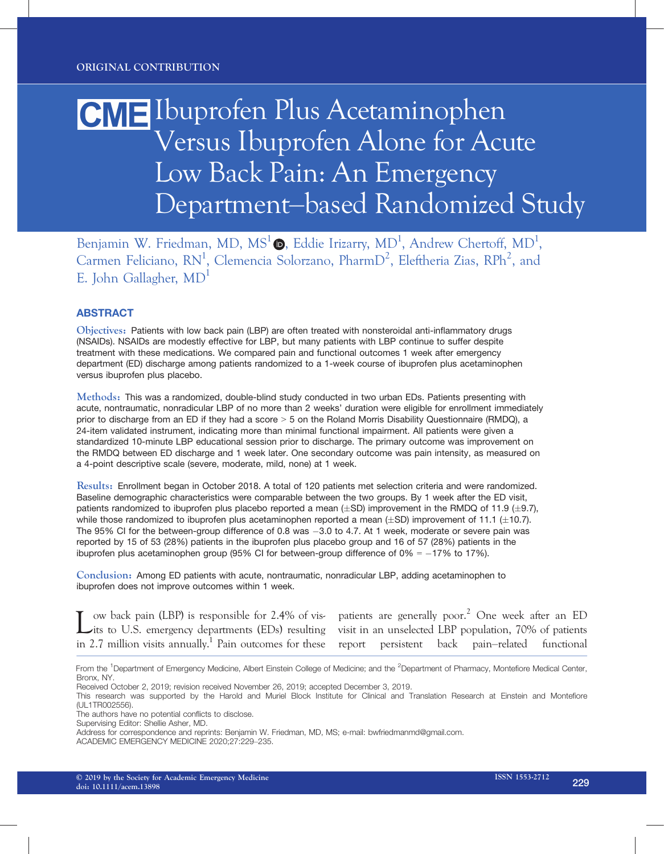# Ibuprofen Plus Acetaminophen Versus Ibuprofen Alone for Acute Low Back Pain: An Emergency Department–based Randomized Study

Benjamin W. Friedman, MD,  $MS^1\bullet$ , Eddie Irizarry, MD<sup>1</sup>, Andrew Chertoff, MD<sup>1</sup>, Carmen Feliciano, RN<sup>1</sup>, Clemencia Solorzano, PharmD<sup>2</sup>, Eleftheria Zias, RPh<sup>2</sup>, and E. John Gallagher, MD<sup>1</sup>

### **ABSTRACT**

Objectives: Patients with low back pain (LBP) are often treated with nonsteroidal anti-inflammatory drugs (NSAIDs). NSAIDs are modestly effective for LBP, but many patients with LBP continue to suffer despite treatment with these medications. We compared pain and functional outcomes 1 week after emergency department (ED) discharge among patients randomized to a 1-week course of ibuprofen plus acetaminophen versus ibuprofen plus placebo.

Methods: This was a randomized, double-blind study conducted in two urban EDs. Patients presenting with acute, nontraumatic, nonradicular LBP of no more than 2 weeks' duration were eligible for enrollment immediately prior to discharge from an ED if they had a score > 5 on the Roland Morris Disability Questionnaire (RMDQ), a 24-item validated instrument, indicating more than minimal functional impairment. All patients were given a standardized 10-minute LBP educational session prior to discharge. The primary outcome was improvement on the RMDQ between ED discharge and 1 week later. One secondary outcome was pain intensity, as measured on a 4-point descriptive scale (severe, moderate, mild, none) at 1 week.

Results: Enrollment began in October 2018. A total of 120 patients met selection criteria and were randomized. Baseline demographic characteristics were comparable between the two groups. By 1 week after the ED visit, patients randomized to ibuprofen plus placebo reported a mean  $(\pm SD)$  improvement in the RMDQ of 11.9 ( $\pm$ 9.7), while those randomized to ibuprofen plus acetaminophen reported a mean  $(\pm SD)$  improvement of 11.1 ( $\pm 10.7$ ). The 95% CI for the between-group difference of 0.8 was  $-3.0$  to 4.7. At 1 week, moderate or severe pain was reported by 15 of 53 (28%) patients in the ibuprofen plus placebo group and 16 of 57 (28%) patients in the ibuprofen plus acetaminophen group (95% CI for between-group difference of  $0\% = -17\%$  to 17%).

Conclusion: Among ED patients with acute, nontraumatic, nonradicular LBP, adding acetaminophen to ibuprofen does not improve outcomes within 1 week.

Low back pain (LBP) is responsible for 2.4% of vis-<br>its to U.S. emergency departments (EDs) resulting in 2.7 million visits annually.<sup>1</sup> Pain outcomes for these report

patients are generally poor.<sup>2</sup> One week after an ED visit in an unselected LBP population, 70% of patients persistent back pain–related functional

From the <sup>1</sup>Department of Emergency Medicine, Albert Einstein College of Medicine; and the <sup>2</sup>Department of Pharmacy, Montefiore Medical Center, Bronx, NY.

Received October 2, 2019; revision received November 26, 2019; accepted December 3, 2019.

This research was supported by the Harold and Muriel Block Institute for Clinical and Translation Research at Einstein and Montefiore (UL1TR002556).

The authors have no potential conflicts to disclose.

Supervising Editor: Shellie Asher, MD.

Address for correspondence and reprints: Benjamin W. Friedman, MD, MS; e-mail: bwfriedmanmd@gmail.com.

ACADEMIC EMERGENCY MEDICINE 2020;27:229–235.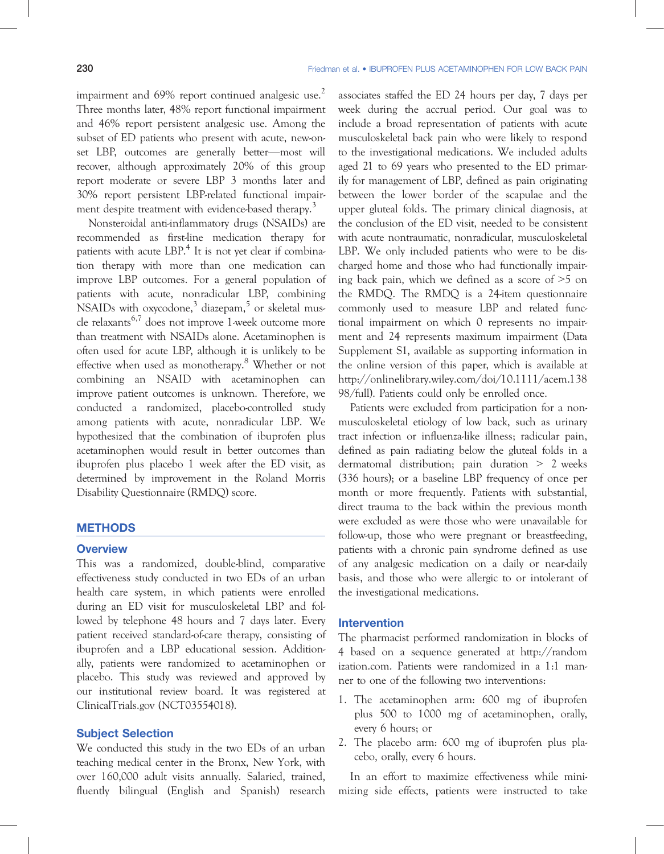impairment and 69% report continued analgesic use.<sup>2</sup> Three months later, 48% report functional impairment and 46% report persistent analgesic use. Among the subset of ED patients who present with acute, new-onset LBP, outcomes are generally better—most will recover, although approximately 20% of this group report moderate or severe LBP 3 months later and 30% report persistent LBP-related functional impairment despite treatment with evidence-based therapy.<sup>3</sup>

Nonsteroidal anti-inflammatory drugs (NSAIDs) are recommended as first-line medication therapy for patients with acute LBP.<sup>4</sup> It is not yet clear if combination therapy with more than one medication can improve LBP outcomes. For a general population of patients with acute, nonradicular LBP, combining NSAIDs with oxycodone, $3$  diazepam, $5$  or skeletal muscle relaxants<sup>6,7</sup> does not improve 1-week outcome more than treatment with NSAIDs alone. Acetaminophen is often used for acute LBP, although it is unlikely to be effective when used as monotherapy.<sup>8</sup> Whether or not combining an NSAID with acetaminophen can improve patient outcomes is unknown. Therefore, we conducted a randomized, placebo-controlled study among patients with acute, nonradicular LBP. We hypothesized that the combination of ibuprofen plus acetaminophen would result in better outcomes than ibuprofen plus placebo 1 week after the ED visit, as determined by improvement in the Roland Morris Disability Questionnaire (RMDQ) score.

# **METHODS**<br>Overview

This was a randomized, double-blind, comparative effectiveness study conducted in two EDs of an urban health care system, in which patients were enrolled during an ED visit for musculoskeletal LBP and followed by telephone 48 hours and 7 days later. Every patient received standard-of-care therapy, consisting of ibuprofen and a LBP educational session. Additionally, patients were randomized to acetaminophen or placebo. This study was reviewed and approved by our institutional review board. It was registered at ClinicalTrials.gov (NCT03554018).

We conducted this study in the two EDs of an urban teaching medical center in the Bronx, New York, with over 160,000 adult visits annually. Salaried, trained, fluently bilingual (English and Spanish) research associates staffed the ED 24 hours per day, 7 days per week during the accrual period. Our goal was to include a broad representation of patients with acute musculoskeletal back pain who were likely to respond to the investigational medications. We included adults aged 21 to 69 years who presented to the ED primarily for management of LBP, defined as pain originating between the lower border of the scapulae and the upper gluteal folds. The primary clinical diagnosis, at the conclusion of the ED visit, needed to be consistent with acute nontraumatic, nonradicular, musculoskeletal LBP. We only included patients who were to be discharged home and those who had functionally impairing back pain, which we defined as a score of >5 on the RMDQ. The RMDQ is a 24-item questionnaire commonly used to measure LBP and related functional impairment on which 0 represents no impairment and 24 represents maximum impairment (Data Supplement S1, available as supporting information in the online version of this paper, which is available at http://onlinelibrary.wiley.com/doi/10.1111/acem.138 98/full). Patients could only be enrolled once.

Patients were excluded from participation for a nonmusculoskeletal etiology of low back, such as urinary tract infection or influenza-like illness; radicular pain, defined as pain radiating below the gluteal folds in a dermatomal distribution; pain duration > 2 weeks (336 hours); or a baseline LBP frequency of once per month or more frequently. Patients with substantial, direct trauma to the back within the previous month were excluded as were those who were unavailable for follow-up, those who were pregnant or breastfeeding, patients with a chronic pain syndrome defined as use of any analgesic medication on a daily or near-daily basis, and those who were allergic to or intolerant of the investigational medications.

### **Intervention**

The pharmacist performed randomization in blocks of 4 based on a sequence generated at http://random ization.com. Patients were randomized in a 1:1 manner to one of the following two interventions:

- 1. The acetaminophen arm: 600 mg of ibuprofen plus 500 to 1000 mg of acetaminophen, orally, every 6 hours; or
- 2. The placebo arm: 600 mg of ibuprofen plus placebo, orally, every 6 hours.

In an effort to maximize effectiveness while minimizing side effects, patients were instructed to take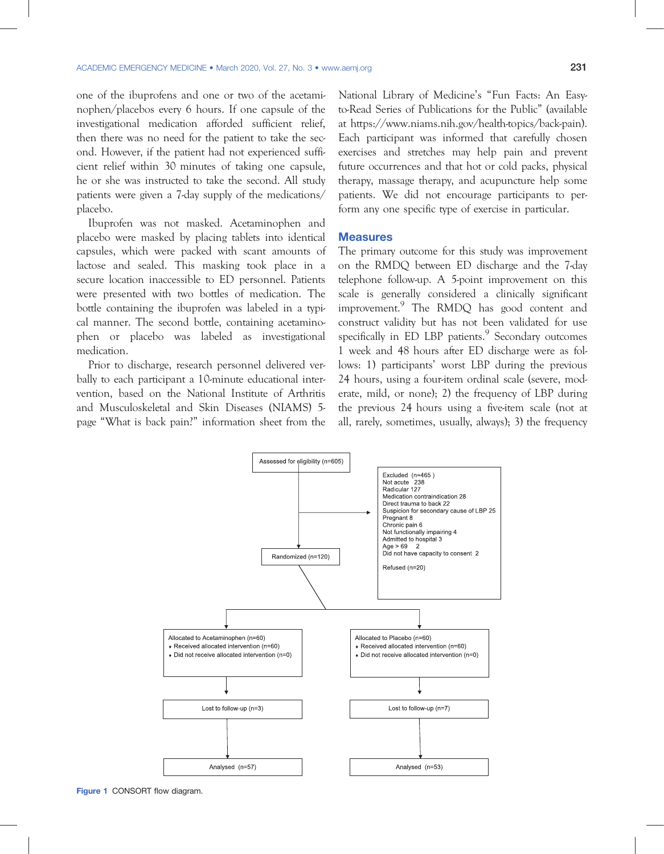one of the ibuprofens and one or two of the acetaminophen/placebos every 6 hours. If one capsule of the investigational medication afforded sufficient relief, then there was no need for the patient to take the second. However, if the patient had not experienced sufficient relief within 30 minutes of taking one capsule, he or she was instructed to take the second. All study patients were given a 7-day supply of the medications/ placebo.

Ibuprofen was not masked. Acetaminophen and placebo were masked by placing tablets into identical capsules, which were packed with scant amounts of lactose and sealed. This masking took place in a secure location inaccessible to ED personnel. Patients were presented with two bottles of medication. The bottle containing the ibuprofen was labeled in a typical manner. The second bottle, containing acetaminophen or placebo was labeled as investigational medication.

Prior to discharge, research personnel delivered verbally to each participant a 10-minute educational intervention, based on the National Institute of Arthritis and Musculoskeletal and Skin Diseases (NIAMS) 5 page "What is back pain?" information sheet from the

National Library of Medicine's "Fun Facts: An Easyto-Read Series of Publications for the Public" (available at https://www.niams.nih.gov/health-topics/back-pain). Each participant was informed that carefully chosen exercises and stretches may help pain and prevent future occurrences and that hot or cold packs, physical therapy, massage therapy, and acupuncture help some patients. We did not encourage participants to perform any one specific type of exercise in particular.

The primary outcome for this study was improvement on the RMDQ between ED discharge and the 7-day telephone follow-up. A 5-point improvement on this scale is generally considered a clinically significant improvement.<sup>9</sup> The RMDQ has good content and construct validity but has not been validated for use specifically in ED LBP patients.<sup>9</sup> Secondary outcomes 1 week and 48 hours after ED discharge were as follows: 1) participants' worst LBP during the previous 24 hours, using a four-item ordinal scale (severe, moderate, mild, or none); 2) the frequency of LBP during the previous 24 hours using a five-item scale (not at all, rarely, sometimes, usually, always); 3) the frequency



Figure 1 CONSORT flow diagram.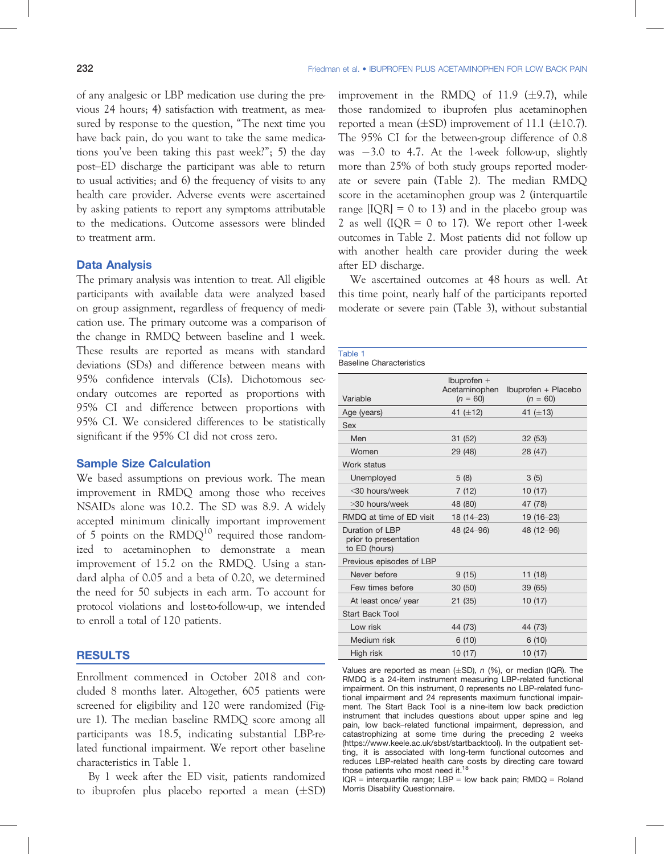of any analgesic or LBP medication use during the previous 24 hours; 4) satisfaction with treatment, as measured by response to the question, "The next time you have back pain, do you want to take the same medications you've been taking this past week?"; 5) the day post–ED discharge the participant was able to return to usual activities; and 6) the frequency of visits to any health care provider. Adverse events were ascertained by asking patients to report any symptoms attributable to the medications. Outcome assessors were blinded to treatment arm.

The primary analysis was intention to treat. All eligible participants with available data were analyzed based on group assignment, regardless of frequency of medication use. The primary outcome was a comparison of the change in RMDQ between baseline and 1 week. These results are reported as means with standard deviations (SDs) and difference between means with 95% confidence intervals (CIs). Dichotomous secondary outcomes are reported as proportions with 95% CI and difference between proportions with 95% CI. We considered differences to be statistically significant if the 95% CI did not cross zero.

### **Sample Size Calculation**

We based assumptions on previous work. The mean improvement in RMDQ among those who receives NSAIDs alone was 10.2. The SD was 8.9. A widely accepted minimum clinically important improvement of 5 points on the  $RMDQ<sup>10</sup>$  required those randomized to acetaminophen to demonstrate a mean improvement of 15.2 on the RMDQ. Using a standard alpha of 0.05 and a beta of 0.20, we determined the need for 50 subjects in each arm. To account for protocol violations and lost-to-follow-up, we intended to enroll a total of 120 patients.

## <u>results to the substitution</u>

Enrollment commenced in October 2018 and concluded 8 months later. Altogether, 605 patients were screened for eligibility and 120 were randomized (Figure 1). The median baseline RMDQ score among all participants was 18.5, indicating substantial LBP-related functional impairment. We report other baseline characteristics in Table 1.

By 1 week after the ED visit, patients randomized to ibuprofen plus placebo reported a mean  $(\pm SD)$  improvement in the RMDQ of 11.9  $(\pm 9.7)$ , while those randomized to ibuprofen plus acetaminophen reported a mean  $(\pm SD)$  improvement of 11.1 ( $\pm 10.7$ ). The 95% CI for the between-group difference of 0.8 was  $-3.0$  to 4.7. At the 1-week follow-up, slightly more than 25% of both study groups reported moderate or severe pain (Table 2). The median RMDQ score in the acetaminophen group was 2 (interquartile range  $[IQR] = 0$  to 13) and in the placebo group was 2 as well  $(IQR = 0$  to 17). We report other 1-week outcomes in Table 2. Most patients did not follow up with another health care provider during the week after ED discharge.

We ascertained outcomes at 48 hours as well. At this time point, nearly half of the participants reported moderate or severe pain (Table 3), without substantial

| Table 1<br><b>Baseline Characteristics</b>                |                                              |                                   |
|-----------------------------------------------------------|----------------------------------------------|-----------------------------------|
| Variable                                                  | Ibuprofen $+$<br>Acetaminophen<br>$(n = 60)$ | Ibuprofen + Placebo<br>$(n = 60)$ |
| Age (years)                                               | 41 $(\pm 12)$                                | 41 $(\pm 13)$                     |
| Sex                                                       |                                              |                                   |
| Men                                                       | 31 (52)                                      | 32(53)                            |
| Women                                                     | 29 (48)                                      | 28 (47)                           |
| Work status                                               |                                              |                                   |
| Unemployed                                                | 5(8)                                         | 3(5)                              |
| <30 hours/week                                            | 7 (12)                                       | 10(17)                            |
| >30 hours/week                                            | 48 (80)                                      | 47 (78)                           |
| RMDQ at time of ED visit                                  | $18(14 - 23)$                                | 19 (16-23)                        |
| Duration of LBP<br>prior to presentation<br>to ED (hours) | 48 (24-96)                                   | 48 (12-96)                        |
| Previous episodes of LBP                                  |                                              |                                   |
| Never before                                              | 9 (15)                                       | 11 (18)                           |
| Few times before                                          | 30 (50)                                      | 39 (65)                           |
| At least once/ year                                       | 21(35)                                       | 10(17)                            |
| <b>Start Back Tool</b>                                    |                                              |                                   |
| Low risk                                                  | 44 (73)                                      | 44 (73)                           |
| Medium risk                                               | 6(10)                                        | 6(10)                             |
| High risk                                                 | 10(17)                                       | 10(17)                            |

Values are reported as mean  $(\pm SD)$ , n (%), or median (IQR). The RMDQ is a 24-item instrument measuring LBP-related functional impairment. On this instrument, 0 represents no LBP-related functional impairment and 24 represents maximum functional impairment. The Start Back Tool is a nine-item low back prediction instrument that includes questions about upper spine and leg pain, low back–related functional impairment, depression, and catastrophizing at some time during the preceding 2 weeks (https://www.keele.ac.uk/sbst/startbacktool). In the outpatient setting, it is associated with long-term functional outcomes and reduces LBP-related health care costs by directing care toward those patients who most need it.<sup>18</sup>

IQR = interquartile range; LBP = low back pain; RMDQ = Roland Morris Disability Questionnaire.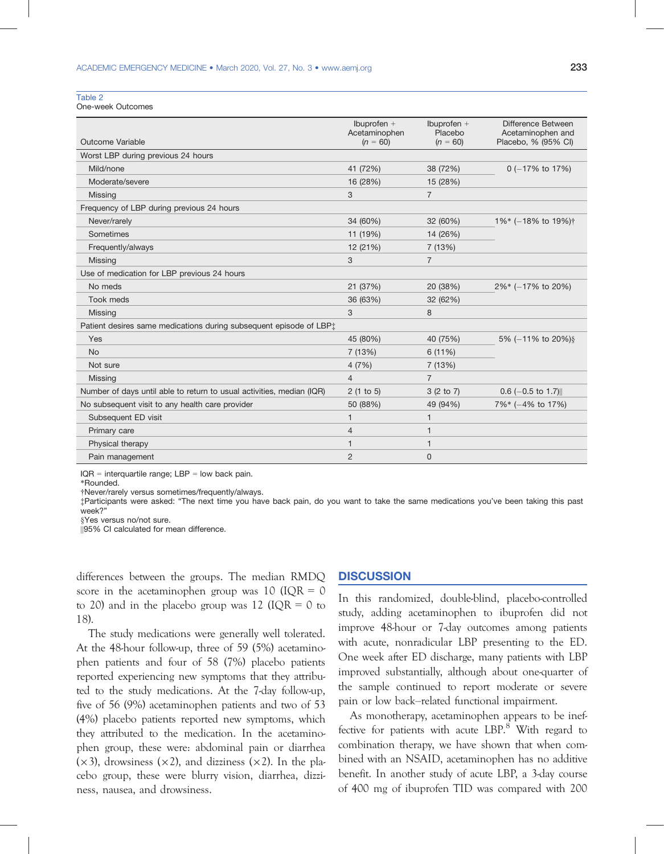Table 2

One-week Outcomes

|                                                                                | $Ib$ uprofen +<br>Acetaminophen | Ibuprofen $+$<br>Placebo | Difference Between<br>Acetaminophen and |
|--------------------------------------------------------------------------------|---------------------------------|--------------------------|-----------------------------------------|
| Outcome Variable                                                               | $(n = 60)$                      | $(n = 60)$               | Placebo, % (95% CI)                     |
| Worst LBP during previous 24 hours                                             |                                 |                          |                                         |
| Mild/none                                                                      | 41 (72%)                        | 38 (72%)                 | $0$ (-17% to 17%)                       |
| Moderate/severe                                                                | 16 (28%)                        | 15 (28%)                 |                                         |
| Missing                                                                        | 3                               | $\overline{7}$           |                                         |
| Frequency of LBP during previous 24 hours                                      |                                 |                          |                                         |
| Never/rarely                                                                   | 34 (60%)                        | 32 (60%)                 | $1\%$ (-18% to 19%) <sup>†</sup>        |
| Sometimes                                                                      | 11 (19%)                        | 14 (26%)                 |                                         |
| Frequently/always                                                              | 12 (21%)                        | 7(13%)                   |                                         |
| Missing                                                                        | 3                               | $\overline{7}$           |                                         |
| Use of medication for LBP previous 24 hours                                    |                                 |                          |                                         |
| No meds                                                                        | 21 (37%)                        | 20 (38%)                 | 2%* (-17% to 20%)                       |
| Took meds                                                                      | 36 (63%)                        | 32 (62%)                 |                                         |
| Missing                                                                        | 3                               | 8                        |                                         |
| Patient desires same medications during subsequent episode of LBP <sup>+</sup> |                                 |                          |                                         |
| Yes                                                                            | 45 (80%)                        | 40 (75%)                 | 5% (-11% to 20%) §                      |
| <b>No</b>                                                                      | 7 (13%)                         | 6(11%)                   |                                         |
| Not sure                                                                       | 4(7%)                           | 7(13%)                   |                                         |
| Missing                                                                        | $\overline{4}$                  | $\overline{7}$           |                                         |
| Number of days until able to return to usual activities, median (IQR)          | 2(1 to 5)                       | 3(2 to 7)                | $0.6$ (-0.5 to 1.7)                     |
| No subsequent visit to any health care provider                                | 50 (88%)                        | 49 (94%)                 | 7%* (-4% to 17%)                        |
| Subsequent ED visit                                                            | 1                               |                          |                                         |
| Primary care                                                                   | $\overline{4}$                  |                          |                                         |
| Physical therapy                                                               | $\mathbf{1}$                    | $\overline{\mathbf{1}}$  |                                         |
| Pain management                                                                | $\overline{2}$                  | 0                        |                                         |

 $IQR =$  interquartile range;  $LBP =$  low back pain.

\*Rounded.

†Never/rarely versus sometimes/frequently/always.

‡Participants were asked: "The next time you have back pain, do you want to take the same medications you've been taking this past week?"

||95% CI calculated for mean difference.

differences between the groups. The median RMDQ score in the acetaminophen group was 10 (IQR  $=$  0 to 20) and in the placebo group was 12 ( $IQR = 0$  to 18).

The study medications were generally well tolerated. At the 48-hour follow-up, three of 59 (5%) acetaminophen patients and four of 58 (7%) placebo patients reported experiencing new symptoms that they attributed to the study medications. At the 7-day follow-up, five of 56 (9%) acetaminophen patients and two of 53 (4%) placebo patients reported new symptoms, which they attributed to the medication. In the acetaminophen group, these were: abdominal pain or diarrhea  $(x3)$ , drowsiness  $(x2)$ , and dizziness  $(x2)$ . In the placebo group, these were blurry vision, diarrhea, dizziness, nausea, and drowsiness.

### **DISCUSSION** <u>Discussion in discussion</u>

In this randomized, double-blind, placebo-controlled study, adding acetaminophen to ibuprofen did not improve 48-hour or 7-day outcomes among patients with acute, nonradicular LBP presenting to the ED. One week after ED discharge, many patients with LBP improved substantially, although about one-quarter of the sample continued to report moderate or severe pain or low back–related functional impairment.

As monotherapy, acetaminophen appears to be ineffective for patients with acute LBP.<sup>8</sup> With regard to combination therapy, we have shown that when combined with an NSAID, acetaminophen has no additive benefit. In another study of acute LBP, a 3-day course of 400 mg of ibuprofen TID was compared with 200

<sup>§</sup>Yes versus no/not sure.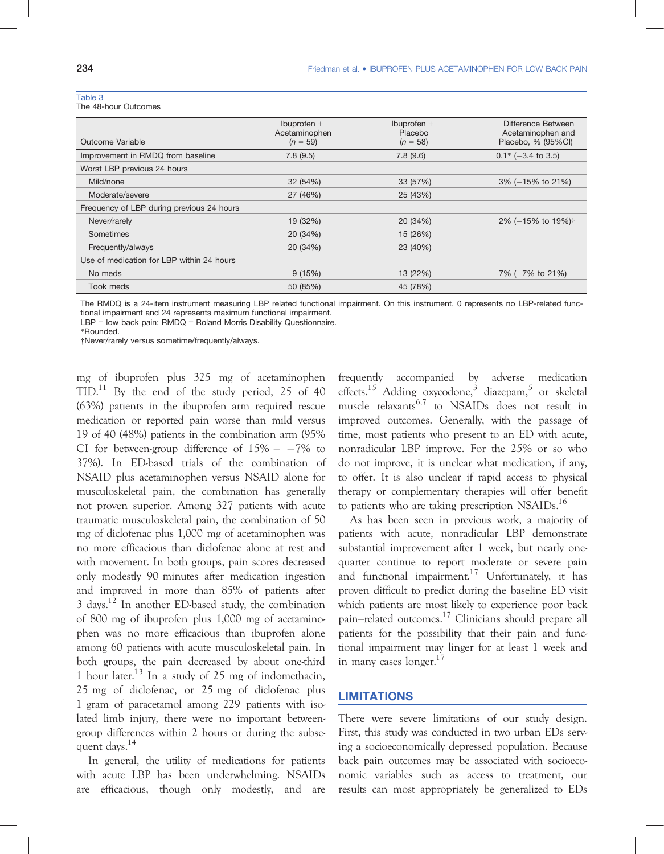| w |  |  |
|---|--|--|
|   |  |  |

The 48-hour Outcomes

| Outcome Variable                          | $Ib$ uprofen +<br>Acetaminophen<br>$(n = 59)$ | Ibuprofen $+$<br>Placebo<br>$(n = 58)$ | Difference Between<br>Acetaminophen and<br>Placebo, % (95%CI) |
|-------------------------------------------|-----------------------------------------------|----------------------------------------|---------------------------------------------------------------|
| Improvement in RMDQ from baseline         | 7.8(9.5)                                      | 7.8(9.6)                               | $0.1*$ (-3.4 to 3.5)                                          |
| Worst LBP previous 24 hours               |                                               |                                        |                                                               |
| Mild/none                                 | 32 (54%)                                      | 33 (57%)                               | 3% (-15% to 21%)                                              |
| Moderate/severe                           | 27 (46%)                                      | 25 (43%)                               |                                                               |
| Frequency of LBP during previous 24 hours |                                               |                                        |                                                               |
| Never/rarely                              | 19 (32%)                                      | 20 (34%)                               | 2% (-15% to 19%) <sup>†</sup>                                 |
| Sometimes                                 | 20 (34%)                                      | 15 (26%)                               |                                                               |
| Frequently/always                         | 20 (34%)                                      | 23 (40%)                               |                                                               |
| Use of medication for LBP within 24 hours |                                               |                                        |                                                               |
| No meds                                   | 9(15%)                                        | 13 (22%)                               | 7% (-7% to 21%)                                               |
| Took meds                                 | 50 (85%)                                      | 45 (78%)                               |                                                               |
|                                           |                                               |                                        |                                                               |

The RMDQ is a 24-item instrument measuring LBP related functional impairment. On this instrument, 0 represents no LBP-related functional impairment and 24 represents maximum functional impairment.

LBP = low back pain; RMDQ = Roland Morris Disability Questionnaire.

\*Rounded.

†Never/rarely versus sometime/frequently/always.

mg of ibuprofen plus 325 mg of acetaminophen  $TID<sup>11</sup>$  By the end of the study period, 25 of 40 (63%) patients in the ibuprofen arm required rescue medication or reported pain worse than mild versus 19 of 40 (48%) patients in the combination arm (95% CI for between-group difference of  $15\% = -7\%$  to 37%). In ED-based trials of the combination of NSAID plus acetaminophen versus NSAID alone for musculoskeletal pain, the combination has generally not proven superior. Among 327 patients with acute traumatic musculoskeletal pain, the combination of 50 mg of diclofenac plus 1,000 mg of acetaminophen was no more efficacious than diclofenac alone at rest and with movement. In both groups, pain scores decreased only modestly 90 minutes after medication ingestion and improved in more than 85% of patients after  $3 \text{ days}$ .<sup>12</sup> In another ED-based study, the combination of 800 mg of ibuprofen plus 1,000 mg of acetaminophen was no more efficacious than ibuprofen alone among 60 patients with acute musculoskeletal pain. In both groups, the pain decreased by about one-third 1 hour later.<sup>13</sup> In a study of 25 mg of indomethacin, 25 mg of diclofenac, or 25 mg of diclofenac plus 1 gram of paracetamol among 229 patients with isolated limb injury, there were no important betweengroup differences within 2 hours or during the subsequent days.<sup>14</sup>

In general, the utility of medications for patients with acute LBP has been underwhelming. NSAIDs are efficacious, though only modestly, and are

frequently accompanied by adverse medication effects.<sup>15</sup> Adding oxycodone,<sup>3</sup> diazepam,<sup>5</sup> or skeletal muscle relaxants<sup>6,7</sup> to NSAIDs does not result in improved outcomes. Generally, with the passage of time, most patients who present to an ED with acute, nonradicular LBP improve. For the 25% or so who do not improve, it is unclear what medication, if any, to offer. It is also unclear if rapid access to physical therapy or complementary therapies will offer benefit to patients who are taking prescription NSAIDs.<sup>16</sup>

As has been seen in previous work, a majority of patients with acute, nonradicular LBP demonstrate substantial improvement after 1 week, but nearly onequarter continue to report moderate or severe pain and functional impairment.<sup>17</sup> Unfortunately, it has proven difficult to predict during the baseline ED visit which patients are most likely to experience poor back pain–related outcomes.17 Clinicians should prepare all patients for the possibility that their pain and functional impairment may linger for at least 1 week and in many cases  $longer.<sup>17</sup>$ 

# <u>Limitation in the Community of the Community</u>

There were severe limitations of our study design. First, this study was conducted in two urban EDs serving a socioeconomically depressed population. Because back pain outcomes may be associated with socioeconomic variables such as access to treatment, our results can most appropriately be generalized to EDs